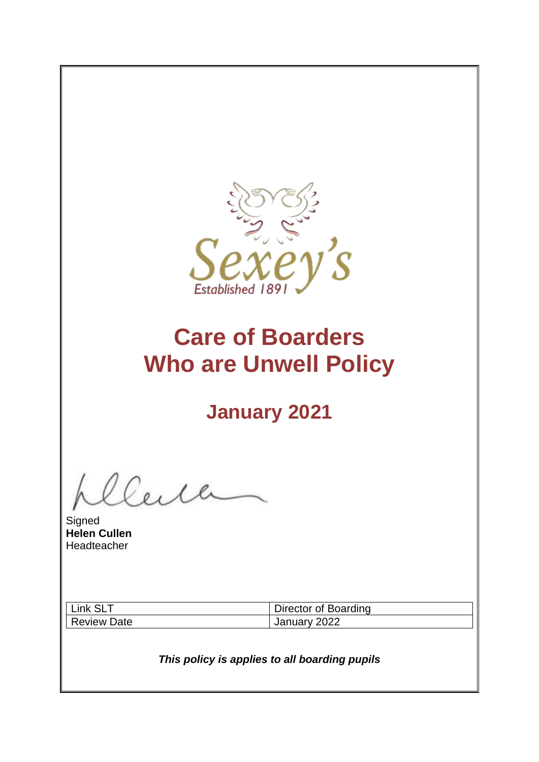

# **Care of Boarders Who are Unwell Policy**

# **January 2021**

**Signed Helen Cullen** Headteacher

| Link SLT    | Director of Boarding |
|-------------|----------------------|
| Review Date | January 2022         |

*This policy is applies to all boarding pupils*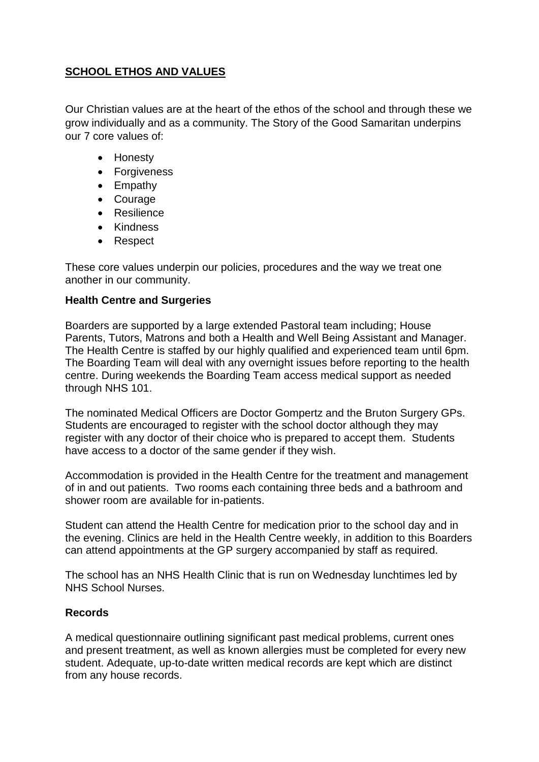# **SCHOOL ETHOS AND VALUES**

Our Christian values are at the heart of the ethos of the school and through these we grow individually and as a community. The Story of the Good Samaritan underpins our 7 core values of:

- Honesty
- Forgiveness
- Empathy
- Courage
- Resilience
- Kindness
- Respect

These core values underpin our policies, procedures and the way we treat one another in our community.

# **Health Centre and Surgeries**

Boarders are supported by a large extended Pastoral team including; House Parents, Tutors, Matrons and both a Health and Well Being Assistant and Manager. The Health Centre is staffed by our highly qualified and experienced team until 6pm. The Boarding Team will deal with any overnight issues before reporting to the health centre. During weekends the Boarding Team access medical support as needed through NHS 101.

The nominated Medical Officers are Doctor Gompertz and the Bruton Surgery GPs. Students are encouraged to register with the school doctor although they may register with any doctor of their choice who is prepared to accept them. Students have access to a doctor of the same gender if they wish.

Accommodation is provided in the Health Centre for the treatment and management of in and out patients. Two rooms each containing three beds and a bathroom and shower room are available for in-patients.

Student can attend the Health Centre for medication prior to the school day and in the evening. Clinics are held in the Health Centre weekly, in addition to this Boarders can attend appointments at the GP surgery accompanied by staff as required.

The school has an NHS Health Clinic that is run on Wednesday lunchtimes led by NHS School Nurses.

# **Records**

A medical questionnaire outlining significant past medical problems, current ones and present treatment, as well as known allergies must be completed for every new student. Adequate, up-to-date written medical records are kept which are distinct from any house records.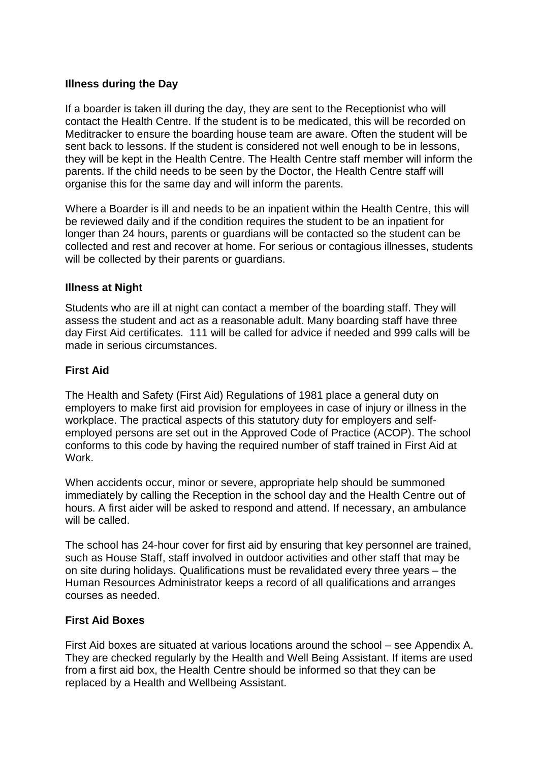#### **Illness during the Day**

If a boarder is taken ill during the day, they are sent to the Receptionist who will contact the Health Centre. If the student is to be medicated, this will be recorded on Meditracker to ensure the boarding house team are aware. Often the student will be sent back to lessons. If the student is considered not well enough to be in lessons, they will be kept in the Health Centre. The Health Centre staff member will inform the parents. If the child needs to be seen by the Doctor, the Health Centre staff will organise this for the same day and will inform the parents.

Where a Boarder is ill and needs to be an inpatient within the Health Centre, this will be reviewed daily and if the condition requires the student to be an inpatient for longer than 24 hours, parents or guardians will be contacted so the student can be collected and rest and recover at home. For serious or contagious illnesses, students will be collected by their parents or guardians.

#### **Illness at Night**

Students who are ill at night can contact a member of the boarding staff. They will assess the student and act as a reasonable adult. Many boarding staff have three day First Aid certificates. 111 will be called for advice if needed and 999 calls will be made in serious circumstances.

#### **First Aid**

The Health and Safety (First Aid) Regulations of 1981 place a general duty on employers to make first aid provision for employees in case of injury or illness in the workplace. The practical aspects of this statutory duty for employers and selfemployed persons are set out in the Approved Code of Practice (ACOP). The school conforms to this code by having the required number of staff trained in First Aid at **Work** 

When accidents occur, minor or severe, appropriate help should be summoned immediately by calling the Reception in the school day and the Health Centre out of hours. A first aider will be asked to respond and attend. If necessary, an ambulance will be called.

The school has 24-hour cover for first aid by ensuring that key personnel are trained, such as House Staff, staff involved in outdoor activities and other staff that may be on site during holidays. Qualifications must be revalidated every three years – the Human Resources Administrator keeps a record of all qualifications and arranges courses as needed.

#### **First Aid Boxes**

First Aid boxes are situated at various locations around the school – see Appendix A. They are checked regularly by the Health and Well Being Assistant. If items are used from a first aid box, the Health Centre should be informed so that they can be replaced by a Health and Wellbeing Assistant.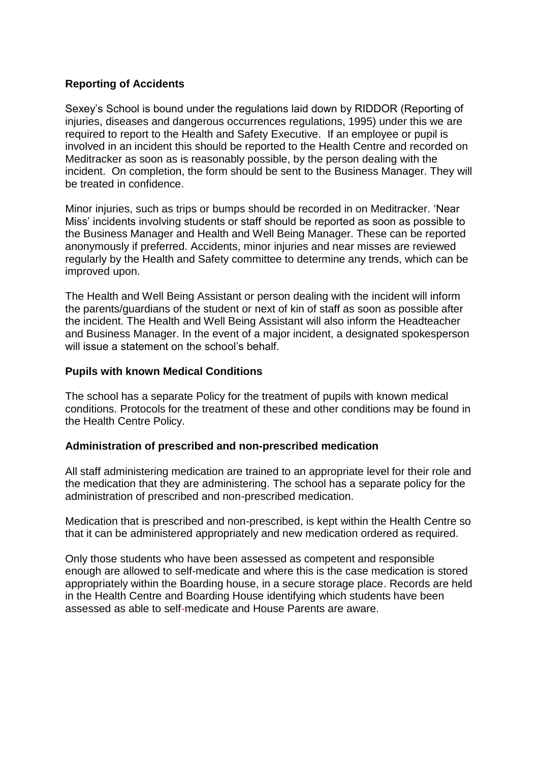#### **Reporting of Accidents**

Sexey's School is bound under the regulations laid down by RIDDOR (Reporting of injuries, diseases and dangerous occurrences regulations, 1995) under this we are required to report to the Health and Safety Executive. If an employee or pupil is involved in an incident this should be reported to the Health Centre and recorded on Meditracker as soon as is reasonably possible, by the person dealing with the incident. On completion, the form should be sent to the Business Manager. They will be treated in confidence.

Minor injuries, such as trips or bumps should be recorded in on Meditracker. 'Near Miss' incidents involving students or staff should be reported as soon as possible to the Business Manager and Health and Well Being Manager. These can be reported anonymously if preferred. Accidents, minor injuries and near misses are reviewed regularly by the Health and Safety committee to determine any trends, which can be improved upon.

The Health and Well Being Assistant or person dealing with the incident will inform the parents/guardians of the student or next of kin of staff as soon as possible after the incident. The Health and Well Being Assistant will also inform the Headteacher and Business Manager. In the event of a major incident, a designated spokesperson will issue a statement on the school's behalf.

#### **Pupils with known Medical Conditions**

The school has a separate Policy for the treatment of pupils with known medical conditions. Protocols for the treatment of these and other conditions may be found in the Health Centre Policy.

#### **Administration of prescribed and non-prescribed medication**

All staff administering medication are trained to an appropriate level for their role and the medication that they are administering. The school has a separate policy for the administration of prescribed and non-prescribed medication.

Medication that is prescribed and non-prescribed, is kept within the Health Centre so that it can be administered appropriately and new medication ordered as required.

Only those students who have been assessed as competent and responsible enough are allowed to self-medicate and where this is the case medication is stored appropriately within the Boarding house, in a secure storage place. Records are held in the Health Centre and Boarding House identifying which students have been assessed as able to self-medicate and House Parents are aware.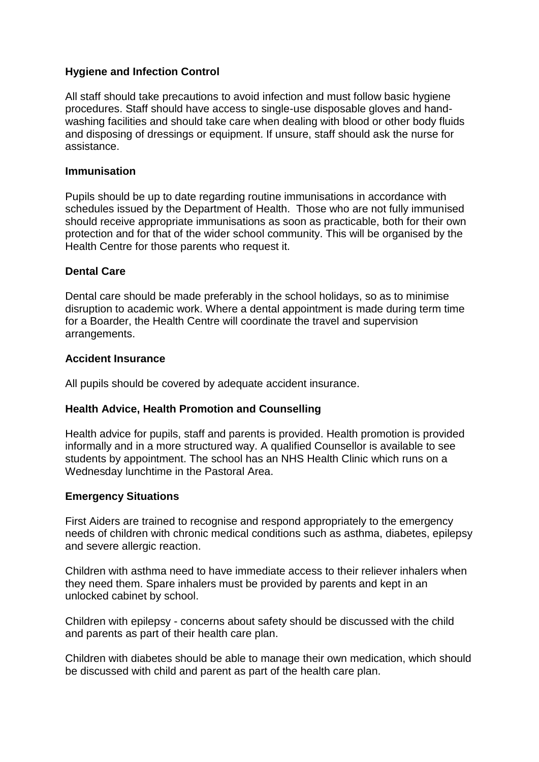# **Hygiene and Infection Control**

All staff should take precautions to avoid infection and must follow basic hygiene procedures. Staff should have access to single-use disposable gloves and handwashing facilities and should take care when dealing with blood or other body fluids and disposing of dressings or equipment. If unsure, staff should ask the nurse for assistance.

#### **Immunisation**

Pupils should be up to date regarding routine immunisations in accordance with schedules issued by the Department of Health. Those who are not fully immunised should receive appropriate immunisations as soon as practicable, both for their own protection and for that of the wider school community. This will be organised by the Health Centre for those parents who request it.

#### **Dental Care**

Dental care should be made preferably in the school holidays, so as to minimise disruption to academic work. Where a dental appointment is made during term time for a Boarder, the Health Centre will coordinate the travel and supervision arrangements.

#### **Accident Insurance**

All pupils should be covered by adequate accident insurance.

#### **Health Advice, Health Promotion and Counselling**

Health advice for pupils, staff and parents is provided. Health promotion is provided informally and in a more structured way. A qualified Counsellor is available to see students by appointment. The school has an NHS Health Clinic which runs on a Wednesday lunchtime in the Pastoral Area.

#### **Emergency Situations**

First Aiders are trained to recognise and respond appropriately to the emergency needs of children with chronic medical conditions such as asthma, diabetes, epilepsy and severe allergic reaction.

Children with asthma need to have immediate access to their reliever inhalers when they need them. Spare inhalers must be provided by parents and kept in an unlocked cabinet by school.

Children with epilepsy - concerns about safety should be discussed with the child and parents as part of their health care plan.

Children with diabetes should be able to manage their own medication, which should be discussed with child and parent as part of the health care plan.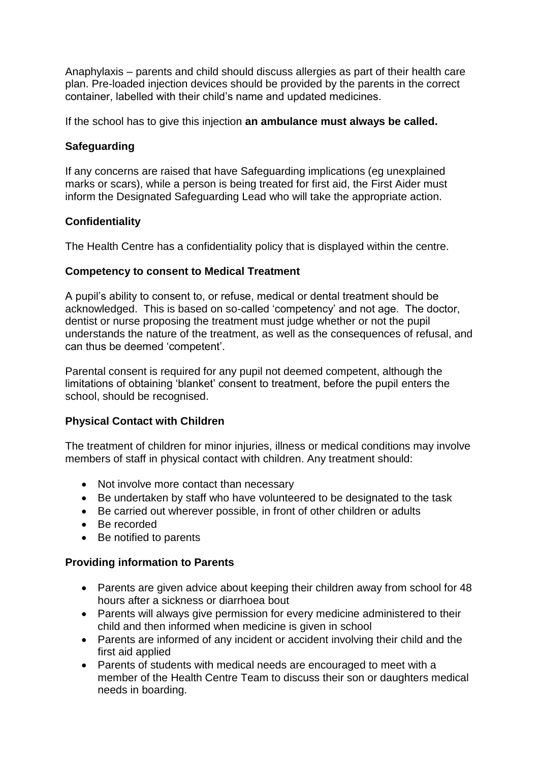Anaphylaxis – parents and child should discuss allergies as part of their health care plan. Pre-loaded injection devices should be provided by the parents in the correct container, labelled with their child's name and updated medicines.

If the school has to give this injection **an ambulance must always be called.** 

# **Safeguarding**

If any concerns are raised that have Safeguarding implications (eg unexplained marks or scars), while a person is being treated for first aid, the First Aider must inform the Designated Safeguarding Lead who will take the appropriate action.

# **Confidentiality**

The Health Centre has a confidentiality policy that is displayed within the centre.

# **Competency to consent to Medical Treatment**

A pupil's ability to consent to, or refuse, medical or dental treatment should be acknowledged. This is based on so-called 'competency' and not age. The doctor, dentist or nurse proposing the treatment must judge whether or not the pupil understands the nature of the treatment, as well as the consequences of refusal, and can thus be deemed 'competent'.

Parental consent is required for any pupil not deemed competent, although the limitations of obtaining 'blanket' consent to treatment, before the pupil enters the school, should be recognised.

#### **Physical Contact with Children**

The treatment of children for minor injuries, illness or medical conditions may involve members of staff in physical contact with children. Any treatment should:

- Not involve more contact than necessary
- Be undertaken by staff who have volunteered to be designated to the task
- Be carried out wherever possible, in front of other children or adults
- Be recorded
- Be notified to parents

#### **Providing information to Parents**

- Parents are given advice about keeping their children away from school for 48 hours after a sickness or diarrhoea bout
- Parents will always give permission for every medicine administered to their child and then informed when medicine is given in school
- Parents are informed of any incident or accident involving their child and the first aid applied
- Parents of students with medical needs are encouraged to meet with a member of the Health Centre Team to discuss their son or daughters medical needs in boarding.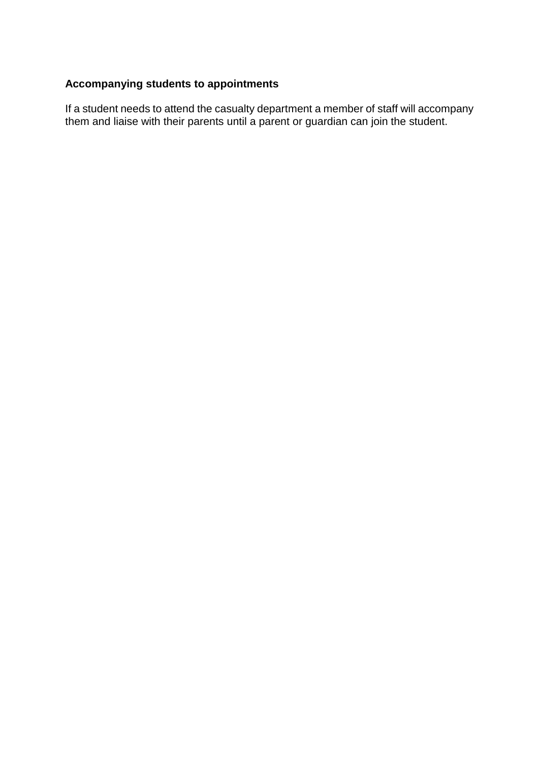# **Accompanying students to appointments**

If a student needs to attend the casualty department a member of staff will accompany them and liaise with their parents until a parent or guardian can join the student.